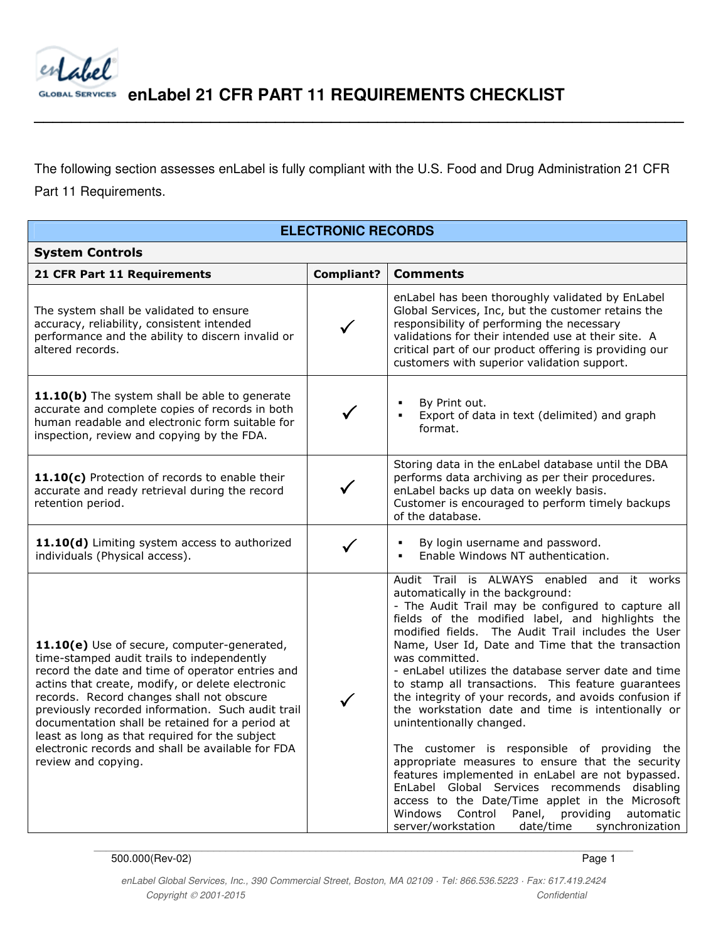

 **enLabel 21 CFR PART 11 REQUIREMENTS CHECKLIST** 

The following section assesses enLabel is fully compliant with the U.S. Food and Drug Administration 21 CFR Part 11 Requirements.

**\_\_\_\_\_\_\_\_\_\_\_\_\_\_\_\_\_\_\_\_\_\_\_\_\_\_\_\_\_\_\_\_\_\_\_\_\_\_\_\_\_\_\_\_\_\_\_\_\_\_\_\_\_\_\_\_\_\_\_\_\_\_\_\_\_\_\_\_\_\_** 

#### **ELECTRONIC RECORDS**

| <b>System Controls</b>                                                                                                                                                                                                                                                                                                                                                                                                                                                               |                   |                                                                                                                                                                                                                                                                                                                                                                                                                                                                                                                                                                                                                                                                                                                                                                                                                                                                                                                                                            |  |
|--------------------------------------------------------------------------------------------------------------------------------------------------------------------------------------------------------------------------------------------------------------------------------------------------------------------------------------------------------------------------------------------------------------------------------------------------------------------------------------|-------------------|------------------------------------------------------------------------------------------------------------------------------------------------------------------------------------------------------------------------------------------------------------------------------------------------------------------------------------------------------------------------------------------------------------------------------------------------------------------------------------------------------------------------------------------------------------------------------------------------------------------------------------------------------------------------------------------------------------------------------------------------------------------------------------------------------------------------------------------------------------------------------------------------------------------------------------------------------------|--|
| 21 CFR Part 11 Requirements                                                                                                                                                                                                                                                                                                                                                                                                                                                          | <b>Compliant?</b> | <b>Comments</b>                                                                                                                                                                                                                                                                                                                                                                                                                                                                                                                                                                                                                                                                                                                                                                                                                                                                                                                                            |  |
| The system shall be validated to ensure<br>accuracy, reliability, consistent intended<br>performance and the ability to discern invalid or<br>altered records.                                                                                                                                                                                                                                                                                                                       |                   | enLabel has been thoroughly validated by EnLabel<br>Global Services, Inc, but the customer retains the<br>responsibility of performing the necessary<br>validations for their intended use at their site. A<br>critical part of our product offering is providing our<br>customers with superior validation support.                                                                                                                                                                                                                                                                                                                                                                                                                                                                                                                                                                                                                                       |  |
| 11.10(b) The system shall be able to generate<br>accurate and complete copies of records in both<br>human readable and electronic form suitable for<br>inspection, review and copying by the FDA.                                                                                                                                                                                                                                                                                    |                   | By Print out.<br>Export of data in text (delimited) and graph<br>$\blacksquare$<br>format.                                                                                                                                                                                                                                                                                                                                                                                                                                                                                                                                                                                                                                                                                                                                                                                                                                                                 |  |
| 11.10(c) Protection of records to enable their<br>accurate and ready retrieval during the record<br>retention period.                                                                                                                                                                                                                                                                                                                                                                |                   | Storing data in the enLabel database until the DBA<br>performs data archiving as per their procedures.<br>enLabel backs up data on weekly basis.<br>Customer is encouraged to perform timely backups<br>of the database.                                                                                                                                                                                                                                                                                                                                                                                                                                                                                                                                                                                                                                                                                                                                   |  |
| 11.10(d) Limiting system access to authorized<br>individuals (Physical access).                                                                                                                                                                                                                                                                                                                                                                                                      |                   | By login username and password.<br>Enable Windows NT authentication.                                                                                                                                                                                                                                                                                                                                                                                                                                                                                                                                                                                                                                                                                                                                                                                                                                                                                       |  |
| 11.10(e) Use of secure, computer-generated,<br>time-stamped audit trails to independently<br>record the date and time of operator entries and<br>actins that create, modify, or delete electronic<br>records. Record changes shall not obscure<br>previously recorded information. Such audit trail<br>documentation shall be retained for a period at<br>least as long as that required for the subject<br>electronic records and shall be available for FDA<br>review and copying. |                   | Audit Trail is ALWAYS enabled and it works<br>automatically in the background:<br>- The Audit Trail may be configured to capture all<br>fields of the modified label, and highlights the<br>modified fields. The Audit Trail includes the User<br>Name, User Id, Date and Time that the transaction<br>was committed.<br>- enLabel utilizes the database server date and time<br>to stamp all transactions. This feature guarantees<br>the integrity of your records, and avoids confusion if<br>the workstation date and time is intentionally or<br>unintentionally changed.<br>The customer is responsible of providing the<br>appropriate measures to ensure that the security<br>features implemented in enLabel are not bypassed.<br>EnLabel Global Services recommends disabling<br>access to the Date/Time applet in the Microsoft<br>Control<br>Panel,<br>Windows<br>providing<br>automatic<br>server/workstation<br>date/time<br>synchronization |  |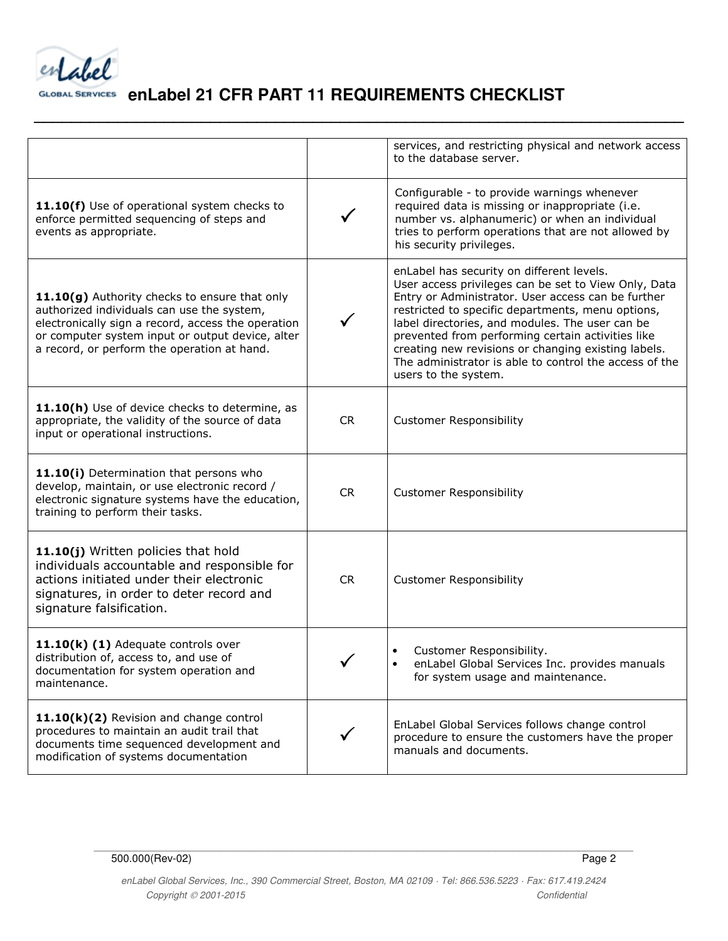entabel

**\_\_\_\_\_\_\_\_\_\_\_\_\_\_\_\_\_\_\_\_\_\_\_\_\_\_\_\_\_\_\_\_\_\_\_\_\_\_\_\_\_\_\_\_\_\_\_\_\_\_\_\_\_\_\_\_\_\_\_\_\_\_\_\_\_\_\_\_\_\_** 

|                                                                                                                                                                                                                                                      |              | services, and restricting physical and network access<br>to the database server.                                                                                                                                                                                                                                                                                                                                                                              |
|------------------------------------------------------------------------------------------------------------------------------------------------------------------------------------------------------------------------------------------------------|--------------|---------------------------------------------------------------------------------------------------------------------------------------------------------------------------------------------------------------------------------------------------------------------------------------------------------------------------------------------------------------------------------------------------------------------------------------------------------------|
| 11.10(f) Use of operational system checks to<br>enforce permitted sequencing of steps and<br>events as appropriate.                                                                                                                                  |              | Configurable - to provide warnings whenever<br>required data is missing or inappropriate (i.e.<br>number vs. alphanumeric) or when an individual<br>tries to perform operations that are not allowed by<br>his security privileges.                                                                                                                                                                                                                           |
| 11.10(g) Authority checks to ensure that only<br>authorized individuals can use the system,<br>electronically sign a record, access the operation<br>or computer system input or output device, alter<br>a record, or perform the operation at hand. |              | enLabel has security on different levels.<br>User access privileges can be set to View Only, Data<br>Entry or Administrator. User access can be further<br>restricted to specific departments, menu options,<br>label directories, and modules. The user can be<br>prevented from performing certain activities like<br>creating new revisions or changing existing labels.<br>The administrator is able to control the access of the<br>users to the system. |
| 11.10(h) Use of device checks to determine, as<br>appropriate, the validity of the source of data<br>input or operational instructions.                                                                                                              | <b>CR</b>    | <b>Customer Responsibility</b>                                                                                                                                                                                                                                                                                                                                                                                                                                |
| 11.10(i) Determination that persons who<br>develop, maintain, or use electronic record /<br>electronic signature systems have the education,<br>training to perform their tasks.                                                                     | <b>CR</b>    | <b>Customer Responsibility</b>                                                                                                                                                                                                                                                                                                                                                                                                                                |
| 11.10(j) Written policies that hold<br>individuals accountable and responsible for<br>actions initiated under their electronic<br>signatures, in order to deter record and<br>signature falsification.                                               | <b>CR</b>    | <b>Customer Responsibility</b>                                                                                                                                                                                                                                                                                                                                                                                                                                |
| 11.10(k) (1) Adequate controls over<br>distribution of, access to, and use of<br>documentation for system operation and<br>maintenance.                                                                                                              |              | Customer Responsibility.<br>enLabel Global Services Inc. provides manuals<br>for system usage and maintenance.                                                                                                                                                                                                                                                                                                                                                |
| 11.10(k)(2) Revision and change control<br>procedures to maintain an audit trail that<br>documents time sequenced development and<br>modification of systems documentation                                                                           | $\checkmark$ | EnLabel Global Services follows change control<br>procedure to ensure the customers have the proper<br>manuals and documents.                                                                                                                                                                                                                                                                                                                                 |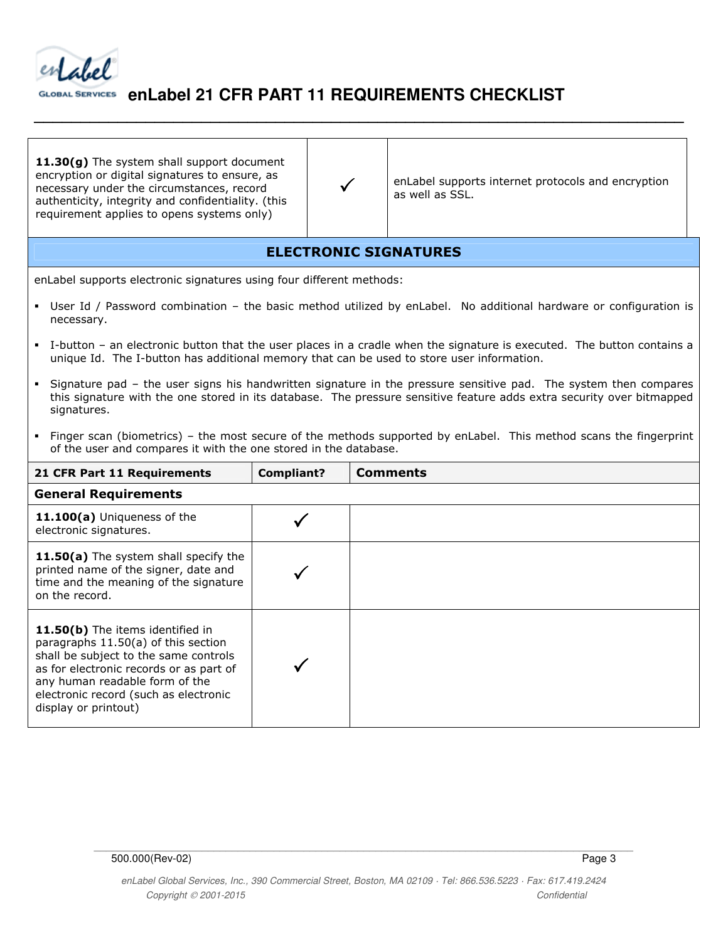

11.30(g) The system shall support document encryption or digital signatures to ensure, as necessary under the circumstances, record authenticity, integrity and confidentiality. (this requirement applies to opens systems only)

enLabel supports internet protocols and encryption as well as SSL.

### ELECTRONIC SIGNATURES

**\_\_\_\_\_\_\_\_\_\_\_\_\_\_\_\_\_\_\_\_\_\_\_\_\_\_\_\_\_\_\_\_\_\_\_\_\_\_\_\_\_\_\_\_\_\_\_\_\_\_\_\_\_\_\_\_\_\_\_\_\_\_\_\_\_\_\_\_\_\_** 

 $\checkmark$ 

enLabel supports electronic signatures using four different methods:

- User Id / Password combination the basic method utilized by enLabel. No additional hardware or configuration is necessary.
- I-button an electronic button that the user places in a cradle when the signature is executed. The button contains a unique Id. The I-button has additional memory that can be used to store user information.
- Signature pad the user signs his handwritten signature in the pressure sensitive pad. The system then compares this signature with the one stored in its database. The pressure sensitive feature adds extra security over bitmapped signatures.
- Finger scan (biometrics) the most secure of the methods supported by enLabel. This method scans the fingerprint of the user and compares it with the one stored in the database.

| 21 CFR Part 11 Requirements                                                                                                                                                                                                                                    | <b>Compliant?</b> | <b>Comments</b> |  |  |
|----------------------------------------------------------------------------------------------------------------------------------------------------------------------------------------------------------------------------------------------------------------|-------------------|-----------------|--|--|
| <b>General Requirements</b>                                                                                                                                                                                                                                    |                   |                 |  |  |
| 11.100(a) Uniqueness of the<br>electronic signatures.                                                                                                                                                                                                          |                   |                 |  |  |
| 11.50(a) The system shall specify the<br>printed name of the signer, date and<br>time and the meaning of the signature<br>on the record.                                                                                                                       |                   |                 |  |  |
| 11.50(b) The items identified in<br>paragraphs 11.50(a) of this section<br>shall be subject to the same controls<br>as for electronic records or as part of<br>any human readable form of the<br>electronic record (such as electronic<br>display or printout) |                   |                 |  |  |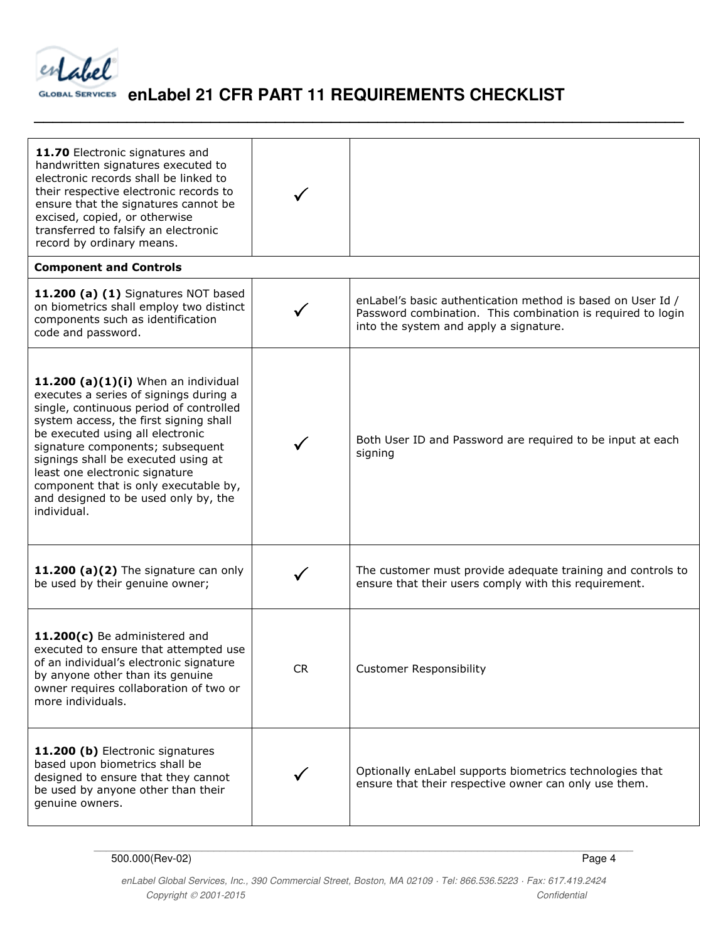

**\_\_\_\_\_\_\_\_\_\_\_\_\_\_\_\_\_\_\_\_\_\_\_\_\_\_\_\_\_\_\_\_\_\_\_\_\_\_\_\_\_\_\_\_\_\_\_\_\_\_\_\_\_\_\_\_\_\_\_\_\_\_\_\_\_\_\_\_\_\_** 

| 11.70 Electronic signatures and<br>handwritten signatures executed to<br>electronic records shall be linked to<br>their respective electronic records to<br>ensure that the signatures cannot be<br>excised, copied, or otherwise<br>transferred to falsify an electronic<br>record by ordinary means.                                                                                                                 |           |                                                                                                                                                                      |  |  |
|------------------------------------------------------------------------------------------------------------------------------------------------------------------------------------------------------------------------------------------------------------------------------------------------------------------------------------------------------------------------------------------------------------------------|-----------|----------------------------------------------------------------------------------------------------------------------------------------------------------------------|--|--|
| <b>Component and Controls</b>                                                                                                                                                                                                                                                                                                                                                                                          |           |                                                                                                                                                                      |  |  |
| 11.200 (a) (1) Signatures NOT based<br>on biometrics shall employ two distinct<br>components such as identification<br>code and password.                                                                                                                                                                                                                                                                              |           | enLabel's basic authentication method is based on User Id /<br>Password combination. This combination is required to login<br>into the system and apply a signature. |  |  |
| 11.200 (a) $(1)(i)$ When an individual<br>executes a series of signings during a<br>single, continuous period of controlled<br>system access, the first signing shall<br>be executed using all electronic<br>signature components; subsequent<br>signings shall be executed using at<br>least one electronic signature<br>component that is only executable by,<br>and designed to be used only by, the<br>individual. |           | Both User ID and Password are required to be input at each<br>signing                                                                                                |  |  |
| 11.200 (a) $(2)$ The signature can only<br>be used by their genuine owner;                                                                                                                                                                                                                                                                                                                                             |           | The customer must provide adequate training and controls to<br>ensure that their users comply with this requirement.                                                 |  |  |
| 11.200(c) Be administered and<br>executed to ensure that attempted use<br>of an individual's electronic signature<br>by anyone other than its genuine<br>owner requires collaboration of two or<br>more individuals.                                                                                                                                                                                                   | <b>CR</b> | <b>Customer Responsibility</b>                                                                                                                                       |  |  |
| 11.200 (b) Electronic signatures<br>based upon biometrics shall be<br>designed to ensure that they cannot<br>be used by anyone other than their<br>genuine owners.                                                                                                                                                                                                                                                     |           | Optionally enLabel supports biometrics technologies that<br>ensure that their respective owner can only use them.                                                    |  |  |